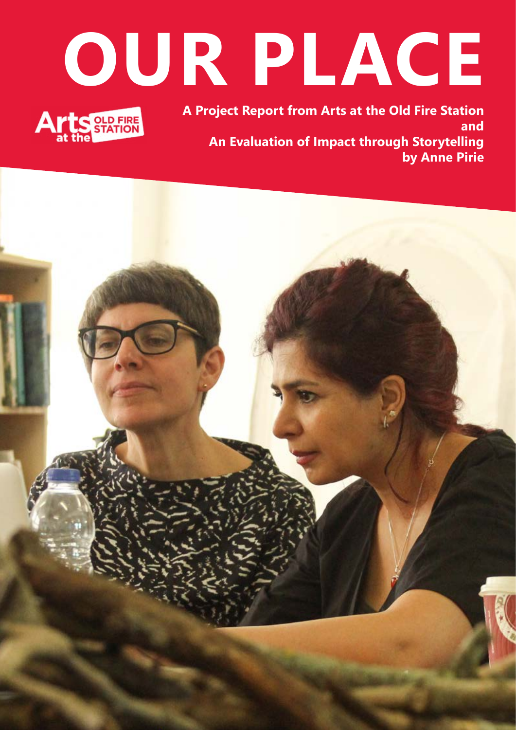# **OUR PLACE**



**A Project Report from Arts at the Old Fire Station and An Evaluation of Impact through Storytelling by Anne Pirie**

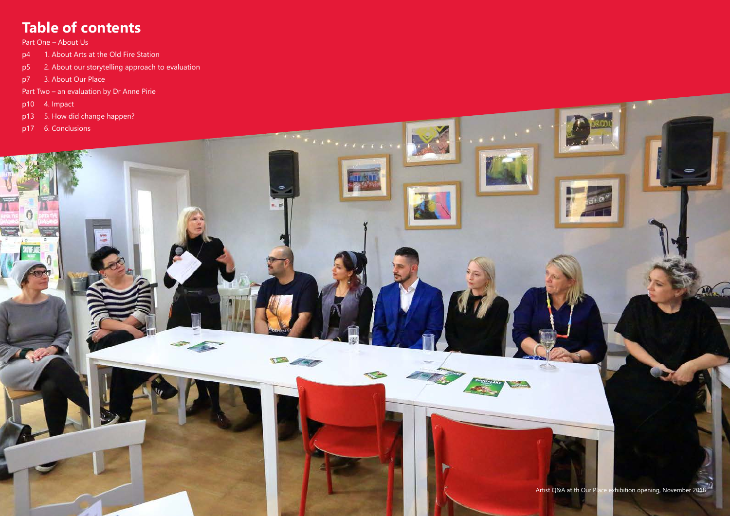# **Table of contents**

Part One – About Us

- p4 1. About Arts at the Old Fire Station
- p5 2. About our storytelling approach to evaluation
- p7 3. About Our Place
- Part Two an evaluation by Dr Anne Pirie
- 
- 
- 

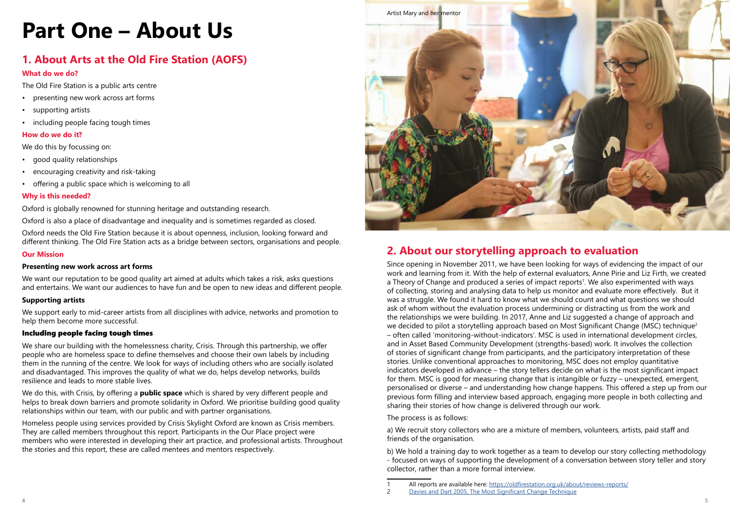# **Part One – About Us**

# **1. About Arts at the Old Fire Station (AOFS)**

#### **What do we do?**

The Old Fire Station is a public arts centre

- presenting new work across art forms
- supporting artists
- including people facing tough times

#### **How do we do it?**

We do this by focussing on:

- good quality relationships
- encouraging creativity and risk-taking
- offering a public space which is welcoming to all

#### **Why is this needed?**

Oxford is globally renowned for stunning heritage and outstanding research.

We want our reputation to be good quality art aimed at adults which takes a risk, asks questions and entertains. We want our audiences to have fun and be open to new ideas and different people.

Oxford is also a place of disadvantage and inequality and is sometimes regarded as closed.

Oxford needs the Old Fire Station because it is about openness, inclusion, looking forward and different thinking. The Old Fire Station acts as a bridge between sectors, organisations and people.

#### **Our Mission**

#### **Presenting new work across art forms**

#### **Supporting artists**

We support early to mid-career artists from all disciplines with advice, networks and promotion to help them become more successful.

#### Including people facing tough times

We share our building with the homelessness charity, Crisis. Through this partnership, we offer people who are homeless space to define themselves and choose their own labels by including them in the running of the centre. We look for ways of including others who are socially isolated and disadvantaged. This improves the quality of what we do, helps develop networks, builds resilience and leads to more stable lives.

We do this, with Crisis, by offering a **public space** which is shared by very different people and helps to break down barriers and promote solidarity in Oxford. We prioritise building good quality relationships within our team, with our public and with partner organisations.

Homeless people using services provided by Crisis Skylight Oxford are known as Crisis members. They are called members throughout this report. Participants in the Our Place project were members who were interested in developing their art practice, and professional artists. Throughout the stories and this report, these are called mentees and mentors respectively.

## **2. About our storytelling approach to evaluation**

Since opening in November 2011, we have been looking for ways of evidencing the impact of our work and learning from it. With the help of external evaluators, Anne Pirie and Liz Firth, we created a Theory of Change and produced a series of impact reports<sup>1</sup>. We also experimented with ways of collecting, storing and analysing data to help us monitor and evaluate more effectively. But it was a struggle. We found it hard to know what we should count and what questions we should ask of whom without the evaluation process undermining or distracting us from the work and the relationships we were building. In 2017, Anne and Liz suggested a change of approach and we decided to pilot a storytelling approach based on Most Significant Change (MSC) technique<sup>2</sup> – often called 'monitoring-without-indicators'. MSC is used in international development circles, and in Asset Based Community Development (strengths-based) work. It involves the collection of stories of significant change from participants, and the participatory interpretation of these stories. Unlike conventional approaches to monitoring, MSC does not employ quantitative indicators developed in advance – the story tellers decide on what is the most significant impact for them. MSC is good for measuring change that is intangible or fuzzy – unexpected, emergent, personalised or diverse – and understanding how change happens. This offered a step up from our previous form filling and interview based approach, engaging more people in both collecting and sharing their stories of how change is delivered through our work.

The process is as follows:

a) We recruit story collectors who are a mixture of members, volunteers, artists, paid staff and friends of the organisation.

b) We hold a training day to work together as a team to develop our story collecting methodology - focused on ways of supporting the development of a conversation between story teller and story collector, rather than a more formal interview.



All reports are available here: <https://oldfirestation.org.uk/about/reviews-reports/>

<sup>2</sup> [Davies and Dart 2005, The Most Significant Change Technique](https://mande.co.uk/wp-content/uploads/2018/01/MSCGuide.pdf)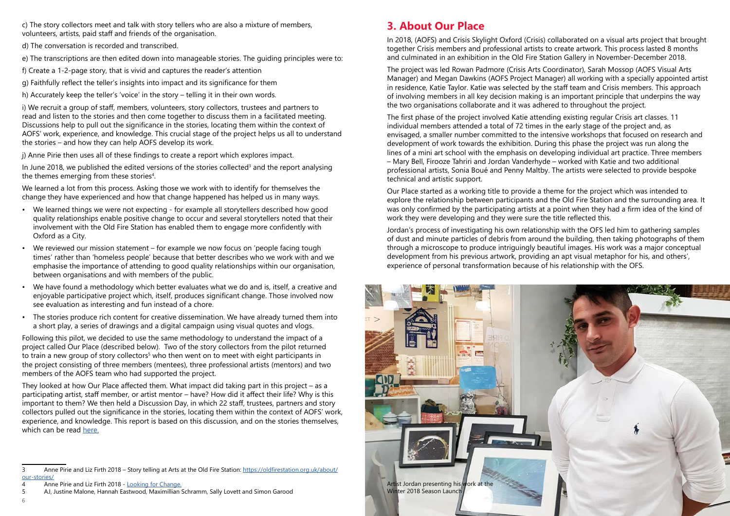c) The story collectors meet and talk with story tellers who are also a mixture of members, volunteers, artists, paid staff and friends of the organisation.

d) The conversation is recorded and transcribed.

e) The transcriptions are then edited down into manageable stories. The guiding principles were to:

f) Create a 1-2-page story, that is vivid and captures the reader's attention

g) Faithfully reflect the teller's insights into impact and its significance for them

h) Accurately keep the teller's 'voice' in the story – telling it in their own words.

i) We recruit a group of staff, members, volunteers, story collectors, trustees and partners to read and listen to the stories and then come together to discuss them in a facilitated meeting. Discussions help to pull out the significance in the stories, locating them within the context of AOFS' work, experience, and knowledge. This crucial stage of the project helps us all to understand the stories – and how they can help AOFS develop its work.

j) Anne Pirie then uses all of these findings to create a report which explores impact.

In June 2018, we published the edited versions of the stories collected<sup>3</sup> and the report analysing the themes emerging from these stories<sup>4</sup>.

We learned a lot from this process. Asking those we work with to identify for themselves the change they have experienced and how that change happened has helped us in many ways.

- We learned things we were not expecting for example all storytellers described how good quality relationships enable positive change to occur and several storytellers noted that their involvement with the Old Fire Station has enabled them to engage more confidently with Oxford as a City.
- We reviewed our mission statement for example we now focus on 'people facing tough times' rather than 'homeless people' because that better describes who we work with and we emphasise the importance of attending to good quality relationships within our organisation, between organisations and with members of the public.
- We have found a methodology which better evaluates what we do and is, itself, a creative and enjoyable participative project which, itself, produces significant change. Those involved now see evaluation as interesting and fun instead of a chore.
- The stories produce rich content for creative dissemination. We have already turned them into a short play, a series of drawings and a digital campaign using visual quotes and vlogs.

Following this pilot, we decided to use the same methodology to understand the impact of a project called Our Place (described below). Two of the story collectors from the pilot returned to train a new group of story collectors<sup>5</sup> who then went on to meet with eight participants in the project consisting of three members (mentees), three professional artists (mentors) and two members of the AOFS team who had supported the project.

They looked at how Our Place affected them. What impact did taking part in this project – as a participating artist, staff member, or artist mentor – have? How did it affect their life? Why is this important to them? We then held a Discussion Day, in which 22 staff, trustees, partners and story collectors pulled out the significance in the stories, locating them within the context of AOFS' work, experience, and knowledge. This report is based on this discussion, and on the stories themselves, which can be read [here.](https://drive.google.com/open?id=1OJ6qAldpVlmwh-UNIh9ytK9VEf9ZHiJe)

## **3. About Our Place**

In 2018, (AOFS) and Crisis Skylight Oxford (Crisis) collaborated on a visual arts project that brought together Crisis members and professional artists to create artwork. This process lasted 8 months and culminated in an exhibition in the Old Fire Station Gallery in November-December 2018.

The project was led Rowan Padmore (Crisis Arts Coordinator), Sarah Mossop (AOFS Visual Arts Manager) and Megan Dawkins (AOFS Project Manager) all working with a specially appointed artist in residence, Katie Taylor. Katie was selected by the staff team and Crisis members. This approach of involving members in all key decision making is an important principle that underpins the way the two organisations collaborate and it was adhered to throughout the project.

The first phase of the project involved Katie attending existing regular Crisis art classes. 11 individual members attended a total of 72 times in the early stage of the project and, as envisaged, a smaller number committed to the intensive workshops that focused on research and development of work towards the exhibition. During this phase the project was run along the lines of a mini art school with the emphasis on developing individual art practice. Three members – Mary Bell, Firooze Tahriri and Jordan Vanderhyde – worked with Katie and two additional professional artists, Sonia Boué and Penny Maltby. The artists were selected to provide bespoke technical and artistic support.

Our Place started as a working title to provide a theme for the project which was intended to explore the relationship between participants and the Old Fire Station and the surrounding area. It was only confirmed by the participating artists at a point when they had a firm idea of the kind of work they were developing and they were sure the title reflected this.

Jordan's process of investigating his own relationship with the OFS led him to gathering samples of dust and minute particles of debris from around the building, then taking photographs of them through a microscope to produce intriguingly beautiful images. His work was a major conceptual development from his previous artwork, providing an apt visual metaphor for his, and others', experience of personal transformation because of his relationship with the OFS.



6

<sup>3</sup> Anne Pirie and Liz Firth 2018 – Story telling at Arts at the Old Fire Station: [https://oldfirestation.org.uk/about/](https://oldfirestation.org.uk/about/our-stories/) [our-stories/](https://oldfirestation.org.uk/about/our-stories/)

<sup>4</sup> Anne Pirie and Liz Firth 2018 - [Looking for Change.](https://issuu.com/artsattheoldfirestation/docs/looking_for_change_-_report)

<sup>5</sup> AJ, Justine Malone, Hannah Eastwood, Maximillian Schramm, Sally Lovett and Simon Garood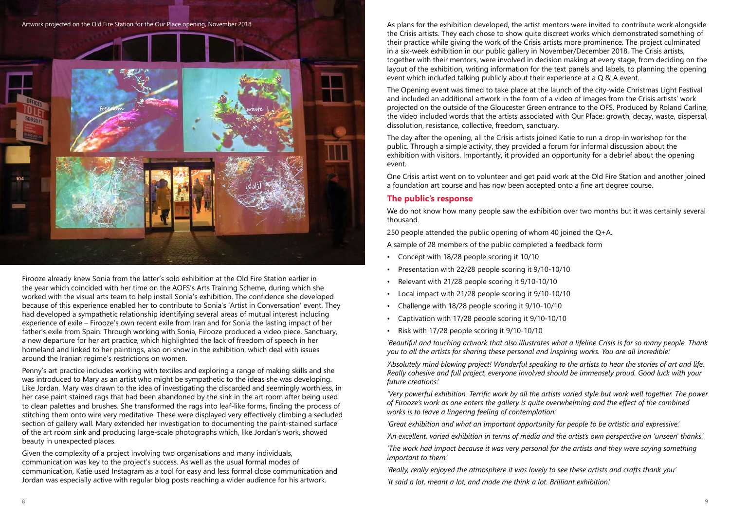Firooze already knew Sonia from the latter's solo exhibition at the Old Fire Station earlier in the year which coincided with her time on the AOFS's Arts Training Scheme, during which she worked with the visual arts team to help install Sonia's exhibition. The confidence she developed because of this experience enabled her to contribute to Sonia's 'Artist in Conversation' event. They had developed a sympathetic relationship identifying several areas of mutual interest including experience of exile – Firooze's own recent exile from Iran and for Sonia the lasting impact of her father's exile from Spain. Through working with Sonia, Firooze produced a video piece, Sanctuary, a new departure for her art practice, which highlighted the lack of freedom of speech in her homeland and linked to her paintings, also on show in the exhibition, which deal with issues around the Iranian regime's restrictions on women.

Penny's art practice includes working with textiles and exploring a range of making skills and she was introduced to Mary as an artist who might be sympathetic to the ideas she was developing. Like Jordan, Mary was drawn to the idea of investigating the discarded and seemingly worthless, in her case paint stained rags that had been abandoned by the sink in the art room after being used to clean palettes and brushes. She transformed the rags into leaf-like forms, finding the process of stitching them onto wire very meditative. These were displayed very effectively climbing a secluded section of gallery wall. Mary extended her investigation to documenting the paint-stained surface of the art room sink and producing large-scale photographs which, like Jordan's work, showed beauty in unexpected places.

We do not know how many people saw the exhibition over two months but it was certainly several thousand.

Given the complexity of a project involving two organisations and many individuals, communication was key to the project's success. As well as the usual formal modes of communication, Katie used Instagram as a tool for easy and less formal close communication and Jordan was especially active with regular blog posts reaching a wider audience for his artwork.

As plans for the exhibition developed, the artist mentors were invited to contribute work alongside the Crisis artists. They each chose to show quite discreet works which demonstrated something of their practice while giving the work of the Crisis artists more prominence. The project culminated in a six-week exhibition in our public gallery in November/December 2018. The Crisis artists, together with their mentors, were involved in decision making at every stage, from deciding on the layout of the exhibition, writing information for the text panels and labels, to planning the opening event which included talking publicly about their experience at a Q & A event.

The Opening event was timed to take place at the launch of the city-wide Christmas Light Festival and included an additional artwork in the form of a video of images from the Crisis artists' work projected on the outside of the Gloucester Green entrance to the OFS. Produced by Roland Carline, the video included words that the artists associated with Our Place: growth, decay, waste, dispersal, dissolution, resistance, collective, freedom, sanctuary.

The day after the opening, all the Crisis artists joined Katie to run a drop-in workshop for the public. Through a simple activity, they provided a forum for informal discussion about the exhibition with visitors. Importantly, it provided an opportunity for a debrief about the opening event.

One Crisis artist went on to volunteer and get paid work at the Old Fire Station and another joined a foundation art course and has now been accepted onto a fine art degree course.

#### **The public's response**

250 people attended the public opening of whom 40 joined the Q+A. A sample of 28 members of the public completed a feedback form

- Concept with 18/28 people scoring it 10/10
- Presentation with 22/28 people scoring it 9/10-10/10
- Relevant with 21/28 people scoring it 9/10-10/10
- Local impact with 21/28 people scoring it 9/10-10/10
- Challenge with 18/28 people scoring it 9/10-10/10
- Captivation with 17/28 people scoring it 9/10-10/10
- Risk with 17/28 people scoring it 9/10-10/10

*'Beautiful and touching artwork that also illustrates what a lifeline Crisis is for so many people. Thank you to all the artists for sharing these personal and inspiring works. You are all incredible.'*

*'Absolutely mind blowing project! Wonderful speaking to the artists to hear the stories of art and life. Really cohesive and full project, everyone involved should be immensely proud. Good luck with your future creations.'*

*'Very powerful exhibition. Terrific work by all the artists varied style but work well together. The power of Firooze's work as one enters the gallery is quite overwhelming and the effect of the combined works is to leave a lingering feeling of contemplation.'*

*'Great exhibition and what an important opportunity for people to be artistic and expressive.'*

*'An excellent, varied exhibition in terms of media and the artist's own perspective on 'unseen' thanks.'*

*'The work had impact because it was very personal for the artists and they were saying something important to them.'*

*'Really, really enjoyed the atmosphere it was lovely to see these artists and crafts thank you' 'It said a lot, meant a lot, and made me think a lot. Brilliant exhibition.'*

Artwork projected on the Old Fire Station for the Our Place opening, November 2018

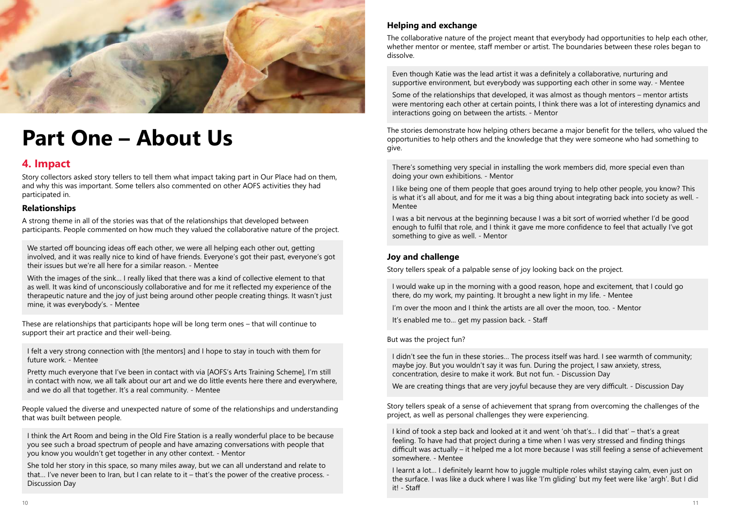

# **Part One – About Us**

## **4. Impact**

Story collectors asked story tellers to tell them what impact taking part in Our Place had on them, and why this was important. Some tellers also commented on other AOFS activities they had participated in.

#### **Relationships**

A strong theme in all of the stories was that of the relationships that developed between participants. People commented on how much they valued the collaborative nature of the project.

We started off bouncing ideas off each other, we were all helping each other out, getting involved, and it was really nice to kind of have friends. Everyone's got their past, everyone's got their issues but we're all here for a similar reason. - Mentee

With the images of the sink… I really liked that there was a kind of collective element to that as well. It was kind of unconsciously collaborative and for me it reflected my experience of the therapeutic nature and the joy of just being around other people creating things. It wasn't just mine, it was everybody's. - Mentee

These are relationships that participants hope will be long term ones – that will continue to support their art practice and their well-being.

I felt a very strong connection with [the mentors] and I hope to stay in touch with them for future work. - Mentee

Pretty much everyone that I've been in contact with via [AOFS's Arts Training Scheme], I'm still in contact with now, we all talk about our art and we do little events here there and everywhere, and we do all that together. It's a real community. - Mentee

People valued the diverse and unexpected nature of some of the relationships and understanding that was built between people.

I think the Art Room and being in the Old Fire Station is a really wonderful place to be because you see such a broad spectrum of people and have amazing conversations with people that you know you wouldn't get together in any other context. - Mentor

She told her story in this space, so many miles away, but we can all understand and relate to that… I've never been to Iran, but I can relate to it – that's the power of the creative process. - Discussion Day

#### **Helping and exchange**

The collaborative nature of the project meant that everybody had opportunities to help each other, whether mentor or mentee, staff member or artist. The boundaries between these roles began to dissolve.

Even though Katie was the lead artist it was a definitely a collaborative, nurturing and supportive environment, but everybody was supporting each other in some way. - Mentee

Some of the relationships that developed, it was almost as though mentors – mentor artists were mentoring each other at certain points, I think there was a lot of interesting dynamics and interactions going on between the artists. - Mentor

The stories demonstrate how helping others became a major benefit for the tellers, who valued the opportunities to help others and the knowledge that they were someone who had something to give.

There's something very special in installing the work members did, more special even than doing your own exhibitions. - Mentor

I like being one of them people that goes around trying to help other people, you know? This is what it's all about, and for me it was a big thing about integrating back into society as well. - Mentee

I was a bit nervous at the beginning because I was a bit sort of worried whether I'd be good enough to fulfil that role, and I think it gave me more confidence to feel that actually I've got something to give as well. - Mentor

#### **Joy and challenge**

Story tellers speak of a palpable sense of joy looking back on the project.

I would wake up in the morning with a good reason, hope and excitement, that I could go there, do my work, my painting. It brought a new light in my life. - Mentee

I'm over the moon and I think the artists are all over the moon, too. - Mentor

It's enabled me to… get my passion back. - Staff

But was the project fun?

I didn't see the fun in these stories… The process itself was hard. I see warmth of community; maybe joy. But you wouldn't say it was fun. During the project, I saw anxiety, stress, concentration, desire to make it work. But not fun. - Discussion Day

We are creating things that are very joyful because they are very difficult. - Discussion Day

Story tellers speak of a sense of achievement that sprang from overcoming the challenges of the project, as well as personal challenges they were experiencing.

I kind of took a step back and looked at it and went 'oh that's... I did that' – that's a great feeling. To have had that project during a time when I was very stressed and finding things difficult was actually – it helped me a lot more because I was still feeling a sense of achievement somewhere. - Mentee

I learnt a lot… I definitely learnt how to juggle multiple roles whilst staying calm, even just on the surface. I was like a duck where I was like 'I'm gliding' but my feet were like 'argh'. But I did it! - Staff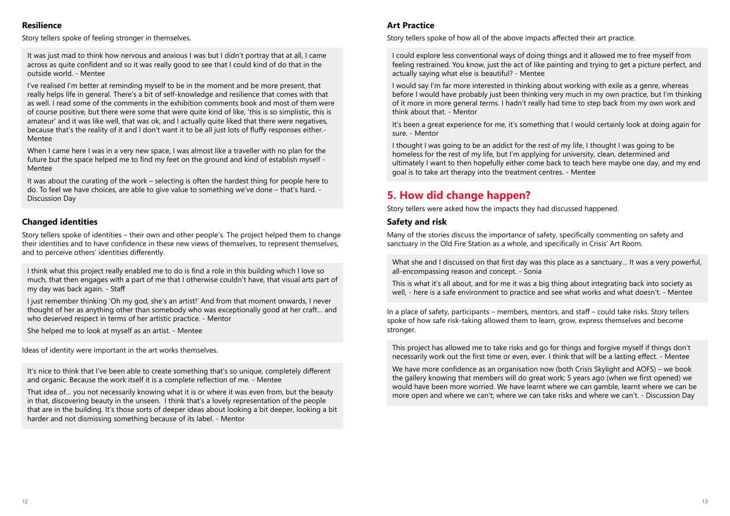#### **Resilience**

Story tellers spoke of feeling stronger in themselves.

It was just mad to think how nervous and anxious I was but I didn't portray that at all, I came across as quite confident and so it was really good to see that I could kind of do that in the outside world. - Mentee

When I came here I was in a very new space, I was almost like a traveller with no plan for the future but the space helped me to find my feet on the ground and kind of establish myself - Mentee

I've realised I'm better at reminding myself to be in the moment and be more present, that really helps life in general. There's a bit of self-knowledge and resilience that comes with that as well. I read some of the comments in the exhibition comments book and most of them were of course positive, but there were some that were quite kind of like, 'this is so simplistic, this is amateur' and it was like well, that was ok, and I actually quite liked that there were negatives, because that's the reality of it and I don't want it to be all just lots of fluffy responses either.- Mentee

It was about the curating of the work – selecting is often the hardest thing for people here to do. To feel we have choices, are able to give value to something we've done – that's hard. - Discussion Day

#### **Changed identities**

Story tellers spoke of identities – their own and other people's. The project helped them to change their identities and to have confidence in these new views of themselves, to represent themselves, and to perceive others' identities differently.

I think what this project really enabled me to do is find a role in this building which I love so much, that then engages with a part of me that I otherwise couldn't have, that visual arts part of my day was back again. - Staff

I just remember thinking 'Oh my god, she's an artist!' And from that moment onwards, I never thought of her as anything other than somebody who was exceptionally good at her craft… and who deserved respect in terms of her artistic practice. - Mentor

She helped me to look at myself as an artist. - Mentee

What she and I discussed on that first day was this place as a sanctuary... It was a very powerful, all-encompassing reason and concept. - Sonia

Ideas of identity were important in the art works themselves.

It's nice to think that I've been able to create something that's so unique, completely different and organic. Because the work itself it is a complete reflection of me. - Mentee

That idea of… you not necessarily knowing what it is or where it was even from, but the beauty in that, discovering beauty in the unseen. I think that's a lovely representation of the people that are in the building. It's those sorts of deeper ideas about looking a bit deeper, looking a bit harder and not dismissing something because of its label. - Mentor

#### **Art Practice**

Story tellers spoke of how all of the above impacts affected their art practice.

I could explore less conventional ways of doing things and it allowed me to free myself from feeling restrained. You know, just the act of like painting and trying to get a picture perfect, and actually saying what else is beautiful? - Mentee

I would say I'm far more interested in thinking about working with exile as a genre, whereas before I would have probably just been thinking very much in my own practice, but I'm thinking of it more in more general terms. I hadn't really had time to step back from my own work and think about that. - Mentor

It's been a great experience for me, it's something that I would certainly look at doing again for sure. - Mentor

I thought I was going to be an addict for the rest of my life, I thought I was going to be homeless for the rest of my life, but I'm applying for university, clean, determined and ultimately I want to then hopefully either come back to teach here maybe one day, and my end goal is to take art therapy into the treatment centres. - Mentee

# **5. How did change happen?**

Story tellers were asked how the impacts they had discussed happened.

#### **Safety and risk**

Many of the stories discuss the importance of safety, specifically commenting on safety and sanctuary in the Old Fire Station as a whole, and specifically in Crisis' Art Room.

This is what it's all about, and for me it was a big thing about integrating back into society as well, - here is a safe environment to practice and see what works and what doesn't. - Mentee

In a place of safety, participants – members, mentors, and staff – could take risks. Story tellers spoke of how safe risk-taking allowed them to learn, grow, express themselves and become stronger.

This project has allowed me to take risks and go for things and forgive myself if things don't necessarily work out the first time or even, ever. I think that will be a lasting effect. - Mentee

We have more confidence as an organisation now (both Crisis Skylight and AOFS) – we book the gallery knowing that members will do great work; 5 years ago (when we first opened) we would have been more worried. We have learnt where we can gamble, learnt where we can be more open and where we can't; where we can take risks and where we can't. - Discussion Day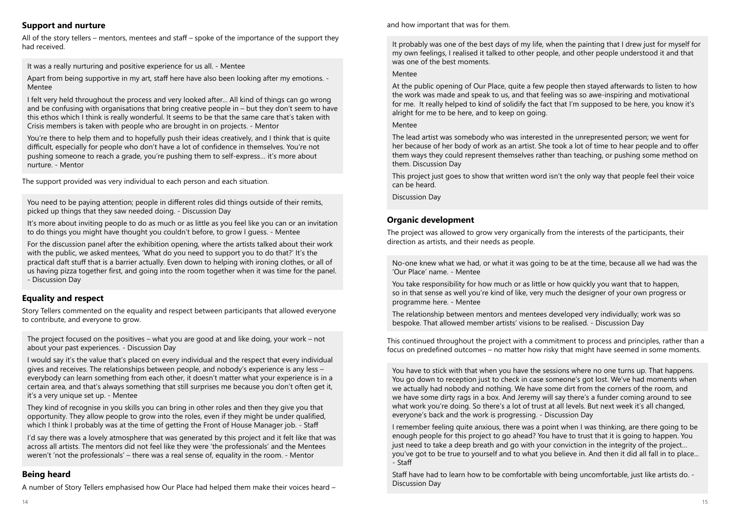#### **Support and nurture**

All of the story tellers – mentors, mentees and staff – spoke of the importance of the support they had received.

It was a really nurturing and positive experience for us all. - Mentee

Apart from being supportive in my art, staff here have also been looking after my emotions. - Mentee

I felt very held throughout the process and very looked after... All kind of things can go wrong and be confusing with organisations that bring creative people in – but they don't seem to have this ethos which I think is really wonderful. It seems to be that the same care that's taken with Crisis members is taken with people who are brought in on projects. - Mentor

You're there to help them and to hopefully push their ideas creatively, and I think that is quite difficult, especially for people who don't have a lot of confidence in themselves. You're not pushing someone to reach a grade, you're pushing them to self-express… it's more about nurture. - Mentor

The support provided was very individual to each person and each situation.

You need to be paying attention; people in different roles did things outside of their remits, picked up things that they saw needed doing. - Discussion Day

It's more about inviting people to do as much or as little as you feel like you can or an invitation to do things you might have thought you couldn't before, to grow I guess. - Mentee

For the discussion panel after the exhibition opening, where the artists talked about their work with the public, we asked mentees, 'What do you need to support you to do that?' It's the practical daft stuff that is a barrier actually. Even down to helping with ironing clothes, or all of us having pizza together first, and going into the room together when it was time for the panel. - Discussion Day

#### **Equality and respect**

Story Tellers commented on the equality and respect between participants that allowed everyone to contribute, and everyone to grow.

The project focused on the positives – what you are good at and like doing, your work – not about your past experiences. - Discussion Day

I would say it's the value that's placed on every individual and the respect that every individual gives and receives. The relationships between people, and nobody's experience is any less – everybody can learn something from each other, it doesn't matter what your experience is in a certain area, and that's always something that still surprises me because you don't often get it, it's a very unique set up. - Mentee

They kind of recognise in you skills you can bring in other roles and then they give you that opportunity. They allow people to grow into the roles, even if they might be under qualified, which I think I probably was at the time of getting the Front of House Manager job. - Staff

I'd say there was a lovely atmosphere that was generated by this project and it felt like that was across all artists. The mentors did not feel like they were 'the professionals' and the Mentees weren't 'not the professionals' – there was a real sense of, equality in the room. - Mentor

#### **Being heard**

A number of Story Tellers emphasised how Our Place had helped them make their voices heard –

It probably was one of the best days of my life, when the painting that I drew just for myself for my own feelings, I realised it talked to other people, and other people understood it and that was one of the best moments.

#### Mentee

At the public opening of Our Place, quite a few people then stayed afterwards to listen to how the work was made and speak to us, and that feeling was so awe-inspiring and motivational for me. It really helped to kind of solidify the fact that I'm supposed to be here, you know it's alright for me to be here, and to keep on going.

#### Mentee

The lead artist was somebody who was interested in the unrepresented person; we went for her because of her body of work as an artist. She took a lot of time to hear people and to offer them ways they could represent themselves rather than teaching, or pushing some method on them. Discussion Day

This project just goes to show that written word isn't the only way that people feel their voice can be heard.

Discussion Day

#### **Organic development**

The project was allowed to grow very organically from the interests of the participants, their direction as artists, and their needs as people.

No-one knew what we had, or what it was going to be at the time, because all we had was the 'Our Place' name. - Mentee

You take responsibility for how much or as little or how quickly you want that to happen, so in that sense as well you're kind of like, very much the designer of your own progress or programme here. - Mentee

The relationship between mentors and mentees developed very individually; work was so bespoke. That allowed member artists' visions to be realised. - Discussion Day

This continued throughout the project with a commitment to process and principles, rather than a focus on predefined outcomes – no matter how risky that might have seemed in some moments.

You have to stick with that when you have the sessions where no one turns up. That happens. You go down to reception just to check in case someone's got lost. We've had moments when we actually had nobody and nothing. We have some dirt from the corners of the room, and we have some dirty rags in a box. And Jeremy will say there's a funder coming around to see what work you're doing. So there's a lot of trust at all levels. But next week it's all changed, everyone's back and the work is progressing. - Discussion Day

I remember feeling quite anxious, there was a point when I was thinking, are there going to be enough people for this project to go ahead? You have to trust that it is going to happen. You just need to take a deep breath and go with your conviction in the integrity of the project… you've got to be true to yourself and to what you believe in. And then it did all fall in to place... - Staff

Staff have had to learn how to be comfortable with being uncomfortable, just like artists do. - Discussion Day

and how important that was for them.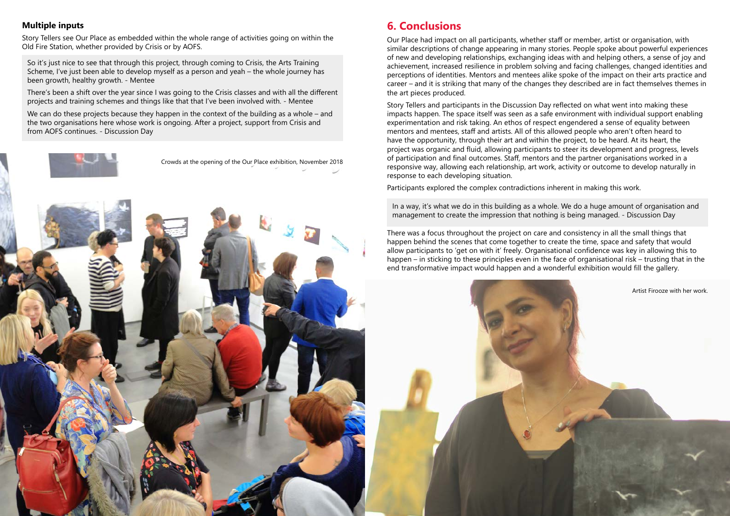#### **Multiple inputs**

Story Tellers see Our Place as embedded within the whole range of activities going on within the Old Fire Station, whether provided by Crisis or by AOFS.

So it's just nice to see that through this project, through coming to Crisis, the Arts Training Scheme, I've just been able to develop myself as a person and yeah – the whole journey has been growth, healthy growth. - Mentee

We can do these projects because they happen in the context of the building as a whole – and the two organisations here whose work is ongoing. After a project, support from Crisis and from AOFS continues. - Discussion Day

There's been a shift over the year since I was going to the Crisis classes and with all the different projects and training schemes and things like that that I've been involved with. - Mentee

## **6. Conclusions**

Our Place had impact on all participants, whether staff or member, artist or organisation, with similar descriptions of change appearing in many stories. People spoke about powerful experiences of new and developing relationships, exchanging ideas with and helping others, a sense of joy and achievement, increased resilience in problem solving and facing challenges, changed identities and perceptions of identities. Mentors and mentees alike spoke of the impact on their arts practice and career – and it is striking that many of the changes they described are in fact themselves themes in the art pieces produced.

Story Tellers and participants in the Discussion Day reflected on what went into making these impacts happen. The space itself was seen as a safe environment with individual support enabling experimentation and risk taking. An ethos of respect engendered a sense of equality between mentors and mentees, staff and artists. All of this allowed people who aren't often heard to have the opportunity, through their art and within the project, to be heard. At its heart, the project was organic and fluid, allowing participants to steer its development and progress, levels of participation and final outcomes. Staff, mentors and the partner organisations worked in a responsive way, allowing each relationship, art work, activity or outcome to develop naturally in response to each developing situation.

Participants explored the complex contradictions inherent in making this work.

In a way, it's what we do in this building as a whole. We do a huge amount of organisation and management to create the impression that nothing is being managed. - Discussion Day

There was a focus throughout the project on care and consistency in all the small things that happen behind the scenes that come together to create the time, space and safety that would allow participants to 'get on with it' freely. Organisational confidence was key in allowing this to happen – in sticking to these principles even in the face of organisational risk – trusting that in the end transformative impact would happen and a wonderful exhibition would fill the gallery.





Artist Firooze with her work.